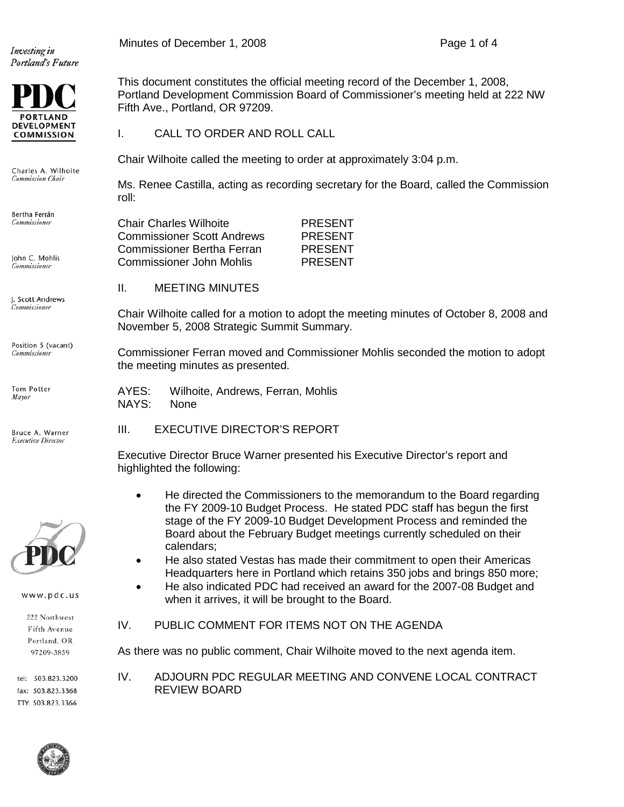Investing in Portland's Future



Charles A. Wilhoite Commission Chair

Bertha Ferrán Commissioner

John C. Mohlis Commissioner

I. Scott Andrews .<br>Commissioner

Position 5 (vacant) Commissioner

Tom Potter Mayor

Bruce A. Warner **Executive Director** 



www.pdc.us

222 Northwest Fifth Avenue Portland, OR 97209-3859

tel: 503.823.3200 fax: 503.823.3368 TTY: 503.823.3366

This document constitutes the official meeting record of the December 1, 2008, Portland Development Commission Board of Commissioner's meeting held at 222 NW Fifth Ave., Portland, OR 97209.

I. CALL TO ORDER AND ROLL CALL

Chair Wilhoite called the meeting to order at approximately 3:04 p.m.

Ms. Renee Castilla, acting as recording secretary for the Board, called the Commission roll:

| <b>Chair Charles Wilhoite</b>     | <b>PRESENT</b> |
|-----------------------------------|----------------|
| <b>Commissioner Scott Andrews</b> | <b>PRESENT</b> |
| <b>Commissioner Bertha Ferran</b> | <b>PRESENT</b> |
| Commissioner John Mohlis          | <b>PRESENT</b> |

II. MEETING MINUTES

Chair Wilhoite called for a motion to adopt the meeting minutes of October 8, 2008 and November 5, 2008 Strategic Summit Summary.

Commissioner Ferran moved and Commissioner Mohlis seconded the motion to adopt the meeting minutes as presented.

AYES: Wilhoite, Andrews, Ferran, Mohlis NAYS: None

III. EXECUTIVE DIRECTOR'S REPORT

Executive Director Bruce Warner presented his Executive Director's report and highlighted the following:

- He directed the Commissioners to the memorandum to the Board regarding the FY 2009-10 Budget Process. He stated PDC staff has begun the first stage of the FY 2009-10 Budget Development Process and reminded the Board about the February Budget meetings currently scheduled on their calendars;
- He also stated Vestas has made their commitment to open their Americas Headquarters here in Portland which retains 350 jobs and brings 850 more;
- He also indicated PDC had received an award for the 2007-08 Budget and when it arrives, it will be brought to the Board.
- IV. PUBLIC COMMENT FOR ITEMS NOT ON THE AGENDA

As there was no public comment, Chair Wilhoite moved to the next agenda item.

IV. ADJOURN PDC REGULAR MEETING AND CONVENE LOCAL CONTRACT REVIEW BOARD



Minutes of December 1, 2008 **Page 1** of 4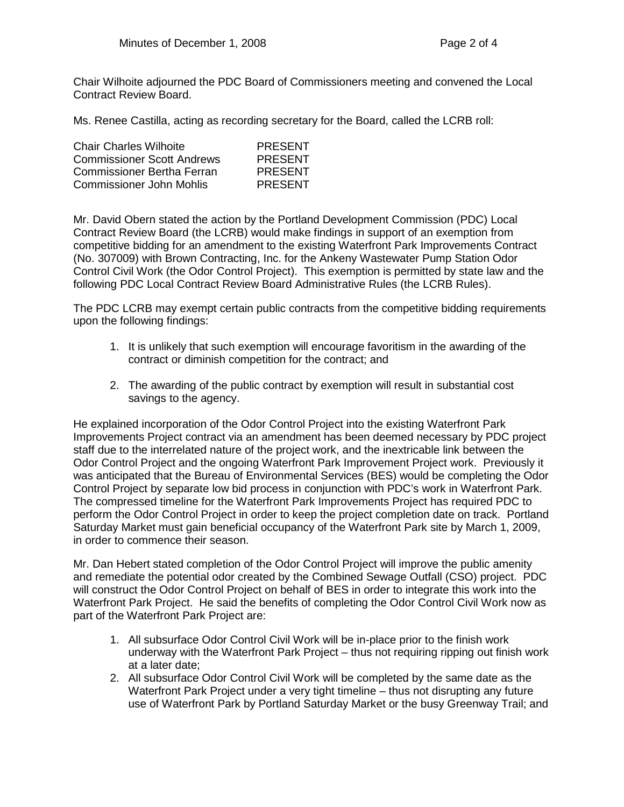Chair Wilhoite adjourned the PDC Board of Commissioners meeting and convened the Local Contract Review Board.

Ms. Renee Castilla, acting as recording secretary for the Board, called the LCRB roll:

| <b>Chair Charles Wilhoite</b>     | <b>PRESENT</b> |
|-----------------------------------|----------------|
| <b>Commissioner Scott Andrews</b> | <b>PRESENT</b> |
| <b>Commissioner Bertha Ferran</b> | <b>PRESENT</b> |
| Commissioner John Mohlis          | <b>PRESENT</b> |

Mr. David Obern stated the action by the Portland Development Commission (PDC) Local Contract Review Board (the LCRB) would make findings in support of an exemption from competitive bidding for an amendment to the existing Waterfront Park Improvements Contract (No. 307009) with Brown Contracting, Inc. for the Ankeny Wastewater Pump Station Odor Control Civil Work (the Odor Control Project). This exemption is permitted by state law and the following PDC Local Contract Review Board Administrative Rules (the LCRB Rules).

The PDC LCRB may exempt certain public contracts from the competitive bidding requirements upon the following findings:

- 1. It is unlikely that such exemption will encourage favoritism in the awarding of the contract or diminish competition for the contract; and
- 2. The awarding of the public contract by exemption will result in substantial cost savings to the agency.

He explained incorporation of the Odor Control Project into the existing Waterfront Park Improvements Project contract via an amendment has been deemed necessary by PDC project staff due to the interrelated nature of the project work, and the inextricable link between the Odor Control Project and the ongoing Waterfront Park Improvement Project work. Previously it was anticipated that the Bureau of Environmental Services (BES) would be completing the Odor Control Project by separate low bid process in conjunction with PDC's work in Waterfront Park. The compressed timeline for the Waterfront Park Improvements Project has required PDC to perform the Odor Control Project in order to keep the project completion date on track. Portland Saturday Market must gain beneficial occupancy of the Waterfront Park site by March 1, 2009, in order to commence their season.

Mr. Dan Hebert stated completion of the Odor Control Project will improve the public amenity and remediate the potential odor created by the Combined Sewage Outfall (CSO) project. PDC will construct the Odor Control Project on behalf of BES in order to integrate this work into the Waterfront Park Project. He said the benefits of completing the Odor Control Civil Work now as part of the Waterfront Park Project are:

- 1. All subsurface Odor Control Civil Work will be in-place prior to the finish work underway with the Waterfront Park Project – thus not requiring ripping out finish work at a later date;
- 2. All subsurface Odor Control Civil Work will be completed by the same date as the Waterfront Park Project under a very tight timeline – thus not disrupting any future use of Waterfront Park by Portland Saturday Market or the busy Greenway Trail; and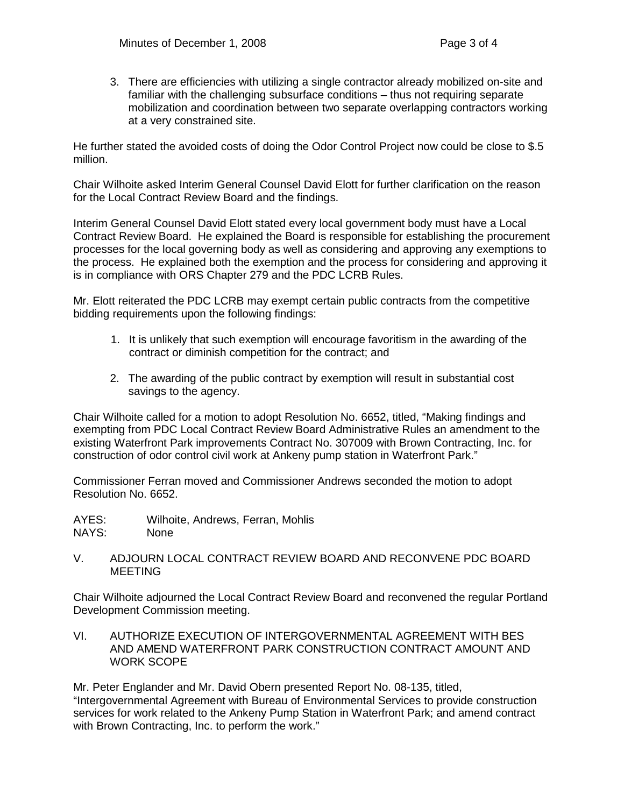3. There are efficiencies with utilizing a single contractor already mobilized on-site and familiar with the challenging subsurface conditions – thus not requiring separate mobilization and coordination between two separate overlapping contractors working at a very constrained site.

He further stated the avoided costs of doing the Odor Control Project now could be close to \$.5 million.

Chair Wilhoite asked Interim General Counsel David Elott for further clarification on the reason for the Local Contract Review Board and the findings.

Interim General Counsel David Elott stated every local government body must have a Local Contract Review Board. He explained the Board is responsible for establishing the procurement processes for the local governing body as well as considering and approving any exemptions to the process. He explained both the exemption and the process for considering and approving it is in compliance with ORS Chapter 279 and the PDC LCRB Rules.

Mr. Elott reiterated the PDC LCRB may exempt certain public contracts from the competitive bidding requirements upon the following findings:

- 1. It is unlikely that such exemption will encourage favoritism in the awarding of the contract or diminish competition for the contract; and
- 2. The awarding of the public contract by exemption will result in substantial cost savings to the agency.

Chair Wilhoite called for a motion to adopt Resolution No. 6652, titled, "Making findings and exempting from PDC Local Contract Review Board Administrative Rules an amendment to the existing Waterfront Park improvements Contract No. 307009 with Brown Contracting, Inc. for construction of odor control civil work at Ankeny pump station in Waterfront Park."

Commissioner Ferran moved and Commissioner Andrews seconded the motion to adopt Resolution No. 6652.

- AYES: Wilhoite, Andrews, Ferran, Mohlis<br>NAYS: None NAYS:
- V. ADJOURN LOCAL CONTRACT REVIEW BOARD AND RECONVENE PDC BOARD MEETING

Chair Wilhoite adjourned the Local Contract Review Board and reconvened the regular Portland Development Commission meeting.

VI. AUTHORIZE EXECUTION OF INTERGOVERNMENTAL AGREEMENT WITH BES AND AMEND WATERFRONT PARK CONSTRUCTION CONTRACT AMOUNT AND WORK SCOPE

Mr. Peter Englander and Mr. David Obern presented Report No. 08-135, titled, "Intergovernmental Agreement with Bureau of Environmental Services to provide construction services for work related to the Ankeny Pump Station in Waterfront Park; and amend contract with Brown Contracting, Inc. to perform the work."